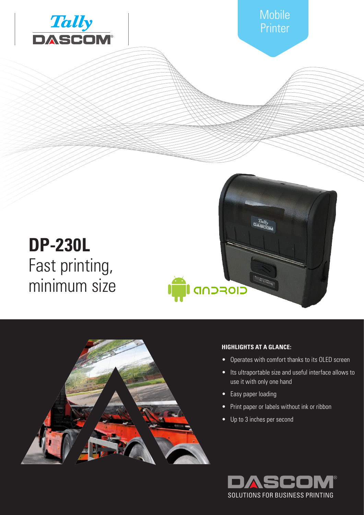



# **HIGHLIGHTS AT A GLANCE:**

- Operates with comfort thanks to its OLED screen
- Its ultraportable size and useful interface allows to use it with only one hand
- Easy paper loading
- Print paper or labels without ink or ribbon
- Up to 3 inches per second